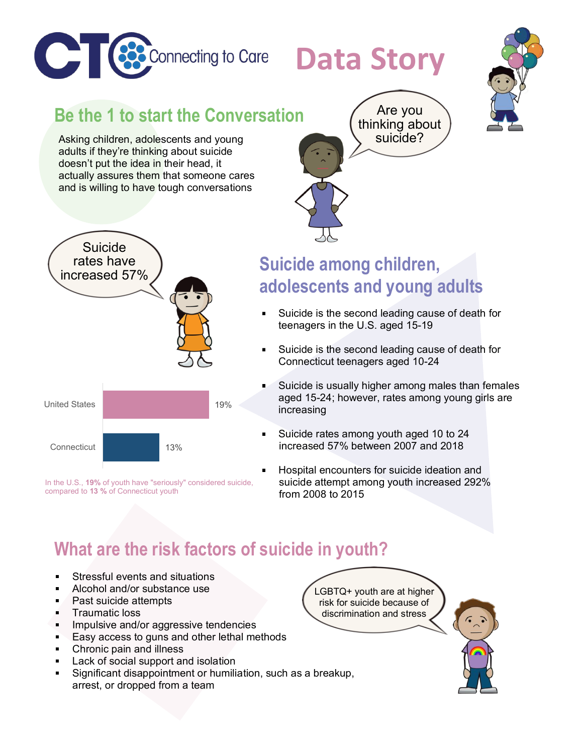

## **Be the 1 to start the Conversation**

Asking children, adolescents and young adults if they're thinking about suicide doesn't put the idea in their head, it actually assures them that someone cares and is willing to have tough conversations





### **Suicide among children, adolescents and young adults**

- Suicide is the second leading cause of death for teenagers in the U.S. aged 15-19
- Suicide is the second leading cause of death for Connecticut teenagers aged 10-24
	- Suicide is usually higher among males than females aged 15-24; however, rates among young girls are increasing
	- Suicide rates among youth aged 10 to 24 increased 57% between 2007 and 2018
	- Hospital encounters for suicide ideation and suicide attempt among youth increased 292% from 2008 to 2015

# **What are the risk factors of suicide in youth?**

19%

Stressful events and situations

In the U.S., **19%** of youth have "seriously" considered suicide,

13%

- Alcohol and/or substance use
- Past suicide attempts

compared to **13 %** of Connecticut youth

Suicide rates have increased 57%

United States

**Connecticut** 

- **Traumatic loss**
- **Impulsive and/or aggressive tendencies**
- Easy access to guns and other lethal methods
- Chronic pain and illness
- Lack of social support and isolation
- Significant disappointment or humiliation, such as a breakup, arrest, or dropped from a team